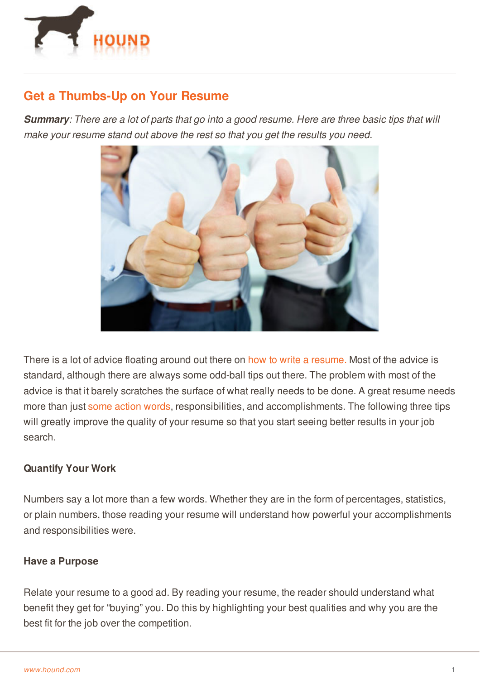

## **Get a Thumbs-Up on Your Resume**

**Summary**: There are a lot of parts that go into a good resume. Here are three basic tips that will *make your resume stand out above the rest so that you get the results you need.*



There is a lot of advice floating around out there on how to write a [resume.](http://www.hound.com/article/900042960/Tips-on-How-to-Write-a-Short-Sweet-and-Successful-Resume/) Most of the advice is standard, although there are always some odd-ball tips out there. The problem with most of the advice is that it barely scratches the surface of what really needs to be done. A great resume needs more than just some [action](http://www.hound.com/article/900045986/What-You-Need-on-Your-Resume-to-Get-an-Interview/) words, responsibilities, and accomplishments. The following three tips will greatly improve the quality of your resume so that you start seeing better results in your job search.

## **Quantify Your Work**

Numbers say a lot more than a few words. Whether they are in the form of percentages, statistics, or plain numbers, those reading your resume will understand how powerful your accomplishments and responsibilities were.

## **Have a Purpose**

[Relate](http://www.hound.com/) your resume to a good ad. By reading your resume, the reader should understand what benefit they get for "buying" you. Do this by highlighting your best qualities and why you are the best fit for the job over the competition.